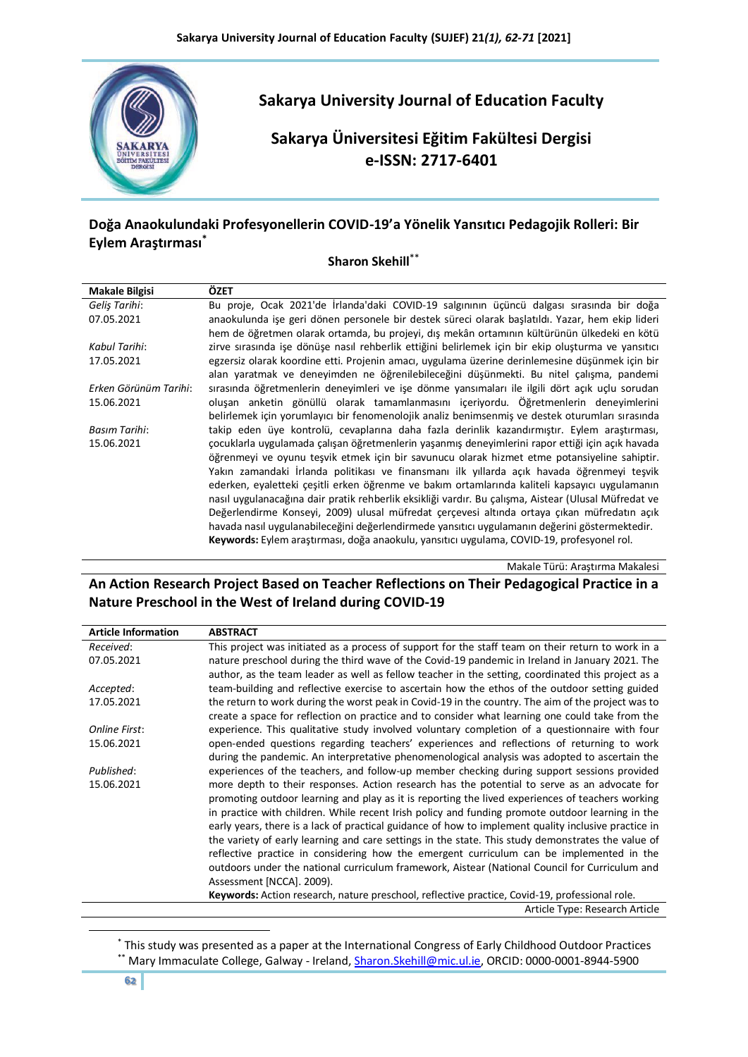

# **Doğa Anaokulundaki Profesyonellerin COVID-19'a Yönelik Yansıtıcı Pedagojik Rolleri: Bir Eylem Araştırması\***

## **Sharon Skehill**\*\*

| <b>Makale Bilgisi</b> | ÖZET                                                                                                 |
|-----------------------|------------------------------------------------------------------------------------------------------|
| Gelis Tarihi:         | Bu proje, Ocak 2021'de İrlanda'daki COVID-19 şalgınının üçüncü dalgası sırasında bir doğa            |
| 07.05.2021            | anaokulunda ise geri dönen personele bir destek süreci olarak baslatıldı. Yazar, hem ekip lideri     |
|                       | hem de öğretmen olarak ortamda, bu projeyi, dış mekân ortamının kültürünün ülkedeki en kötü          |
| Kabul Tarihi:         | zirve sırasında işe dönüşe nasıl rehberlik ettiğini belirlemek için bir ekip oluşturma ve yansıtıcı  |
| 17.05.2021            | egzersiz olarak koordine etti. Projenin amacı, uygulama üzerine derinlemesine düşünmek için bir      |
|                       | alan yaratmak ve deneyimden ne öğrenilebileceğini düşünmekti. Bu nitel çalışma, pandemi              |
| Erken Görünüm Tarihi: | sırasında öğretmenlerin deneyimleri ve işe dönme yansımaları ile ilgili dört açık uçlu sorudan       |
| 15.06.2021            | olusan anketin gönüllü olarak tamamlanmasını içeriyordu. Öğretmenlerin deneyimlerini                 |
|                       | belirlemek için yorumlayıcı bir fenomenolojik analiz benimsenmiş ve destek oturumları sırasında      |
| Basım Tarihi:         | takip eden üye kontrolü, cevaplarına daha fazla derinlik kazandırmıştır. Eylem araştırması,          |
| 15.06.2021            | çocuklarla uygulamada çalışan öğretmenlerin yaşanmış deneyimlerini rapor ettiği için açık havada     |
|                       | öğrenmeyi ve oyunu teşvik etmek için bir savunucu olarak hizmet etme potansiyeline sahiptir.         |
|                       | Yakın zamandaki İrlanda politikası ve finansmanı ilk yıllarda açık havada öğrenmeyi teşvik           |
|                       | ederken, eyaletteki çeşitli erken öğrenme ve bakım ortamlarında kaliteli kapsayıcı uygulamanın       |
|                       | nasıl uygulanacağına dair pratik rehberlik eksikliği vardır. Bu çalışma, Aistear (Ulusal Müfredat ve |
|                       | Değerlendirme Konseyi, 2009) ulusal müfredat çerçevesi altında ortaya çıkan müfredatın açık          |
|                       | havada nasıl uygulanabileceğini değerlendirmede yansıtıcı uygulamanın değerini göstermektedir.       |
|                       | Keywords: Eylem araştırması, doğa anaokulu, yansıtıcı uygulama, COVID-19, profesyonel rol.           |

Makale Türü: Araştırma Makalesi

## **An Action Research Project Based on Teacher Reflections on Their Pedagogical Practice in a Nature Preschool in the West of Ireland during COVID-19**

| <b>Article Information</b> | <b>ABSTRACT</b>                                                                                      |
|----------------------------|------------------------------------------------------------------------------------------------------|
| Received:                  | This project was initiated as a process of support for the staff team on their return to work in a   |
| 07.05.2021                 | nature preschool during the third wave of the Covid-19 pandemic in Ireland in January 2021. The      |
|                            | author, as the team leader as well as fellow teacher in the setting, coordinated this project as a   |
| Accepted:                  | team-building and reflective exercise to ascertain how the ethos of the outdoor setting guided       |
| 17.05.2021                 | the return to work during the worst peak in Covid-19 in the country. The aim of the project was to   |
|                            | create a space for reflection on practice and to consider what learning one could take from the      |
| <b>Online First:</b>       | experience. This qualitative study involved voluntary completion of a questionnaire with four        |
| 15.06.2021                 | open-ended questions regarding teachers' experiences and reflections of returning to work            |
|                            | during the pandemic. An interpretative phenomenological analysis was adopted to ascertain the        |
| Published:                 | experiences of the teachers, and follow-up member checking during support sessions provided          |
| 15.06.2021                 | more depth to their responses. Action research has the potential to serve as an advocate for         |
|                            | promoting outdoor learning and play as it is reporting the lived experiences of teachers working     |
|                            | in practice with children. While recent Irish policy and funding promote outdoor learning in the     |
|                            | early years, there is a lack of practical guidance of how to implement quality inclusive practice in |
|                            | the variety of early learning and care settings in the state. This study demonstrates the value of   |
|                            | reflective practice in considering how the emergent curriculum can be implemented in the             |
|                            | outdoors under the national curriculum framework, Aistear (National Council for Curriculum and       |
|                            | Assessment [NCCA]. 2009).                                                                            |
|                            | Keywords: Action research, nature preschool, reflective practice, Covid-19, professional role.       |
|                            | Article Type: Research Article                                                                       |

<sup>\*</sup> This study was presented as a paper at the International Congress of Early Childhood Outdoor Practices \*\* Mary Immaculate College, Galway - Ireland[, Sharon.Skehill@mic.ul.ie,](mailto:Sharon.Skehill@mic.ul.ie) ORCID: [0000-0001-8944-5900](https://orcid.org/0000-0001-8944-5900)

-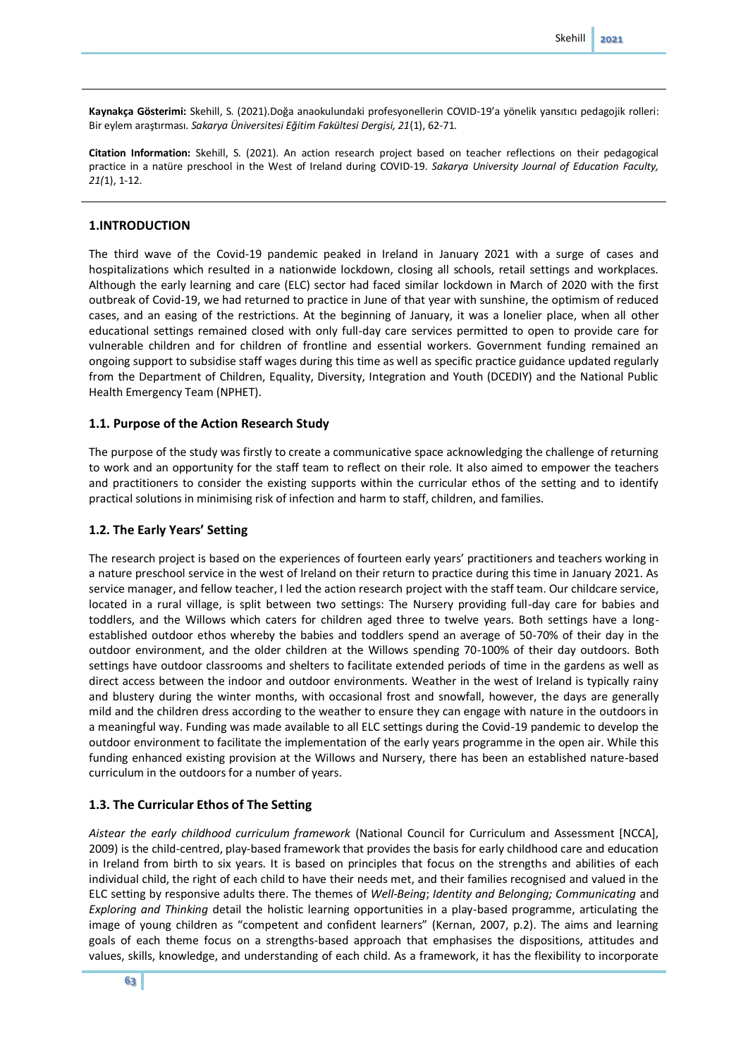**Kaynakça Gösterimi:** Skehill, S. (2021).Doğa anaokulundaki profesyonellerin COVID-19'a yönelik yansıtıcı pedagojik rolleri: Bir eylem araştırması. *Sakarya Üniversitesi Eğitim Fakültesi Dergisi, 21*(1), 62-71.

**Citation Information:** Skehill, S. (2021). An action research project based on teacher reflections on their pedagogical practice in a natüre preschool in the West of Ireland during COVID-19. *Sakarya University Journal of Education Faculty, 21(*1), 1-12.

## **1.INTRODUCTION**

The third wave of the Covid-19 pandemic peaked in Ireland in January 2021 with a surge of cases and hospitalizations which resulted in a nationwide lockdown, closing all schools, retail settings and workplaces. Although the early learning and care (ELC) sector had faced similar lockdown in March of 2020 with the first outbreak of Covid-19, we had returned to practice in June of that year with sunshine, the optimism of reduced cases, and an easing of the restrictions. At the beginning of January, it was a lonelier place, when all other educational settings remained closed with only full-day care services permitted to open to provide care for vulnerable children and for children of frontline and essential workers. Government funding remained an ongoing support to subsidise staff wages during this time as well as specific practice guidance updated regularly from the Department of Children, Equality, Diversity, Integration and Youth (DCEDIY) and the National Public Health Emergency Team (NPHET).

## **1.1. Purpose of the Action Research Study**

The purpose of the study was firstly to create a communicative space acknowledging the challenge of returning to work and an opportunity for the staff team to reflect on their role. It also aimed to empower the teachers and practitioners to consider the existing supports within the curricular ethos of the setting and to identify practical solutions in minimising risk of infection and harm to staff, children, and families.

## **1.2. The Early Years' Setting**

The research project is based on the experiences of fourteen early years' practitioners and teachers working in a nature preschool service in the west of Ireland on their return to practice during this time in January 2021. As service manager, and fellow teacher, I led the action research project with the staff team. Our childcare service, located in a rural village, is split between two settings: The Nursery providing full-day care for babies and toddlers, and the Willows which caters for children aged three to twelve years. Both settings have a longestablished outdoor ethos whereby the babies and toddlers spend an average of 50-70% of their day in the outdoor environment, and the older children at the Willows spending 70-100% of their day outdoors. Both settings have outdoor classrooms and shelters to facilitate extended periods of time in the gardens as well as direct access between the indoor and outdoor environments. Weather in the west of Ireland is typically rainy and blustery during the winter months, with occasional frost and snowfall, however, the days are generally mild and the children dress according to the weather to ensure they can engage with nature in the outdoors in a meaningful way. Funding was made available to all ELC settings during the Covid-19 pandemic to develop the outdoor environment to facilitate the implementation of the early years programme in the open air. While this funding enhanced existing provision at the Willows and Nursery, there has been an established nature-based curriculum in the outdoors for a number of years.

## **1.3. The Curricular Ethos of The Setting**

*Aistear the early childhood curriculum framework* (National Council for Curriculum and Assessment [NCCA], 2009) is the child-centred, play-based framework that provides the basis for early childhood care and education in Ireland from birth to six years. It is based on principles that focus on the strengths and abilities of each individual child, the right of each child to have their needs met, and their families recognised and valued in the ELC setting by responsive adults there. The themes of *Well-Being*; *Identity and Belonging; Communicating* and *Exploring and Thinking* detail the holistic learning opportunities in a play-based programme, articulating the image of young children as "competent and confident learners" (Kernan, 2007, p.2). The aims and learning goals of each theme focus on a strengths-based approach that emphasises the dispositions, attitudes and values, skills, knowledge, and understanding of each child. As a framework, it has the flexibility to incorporate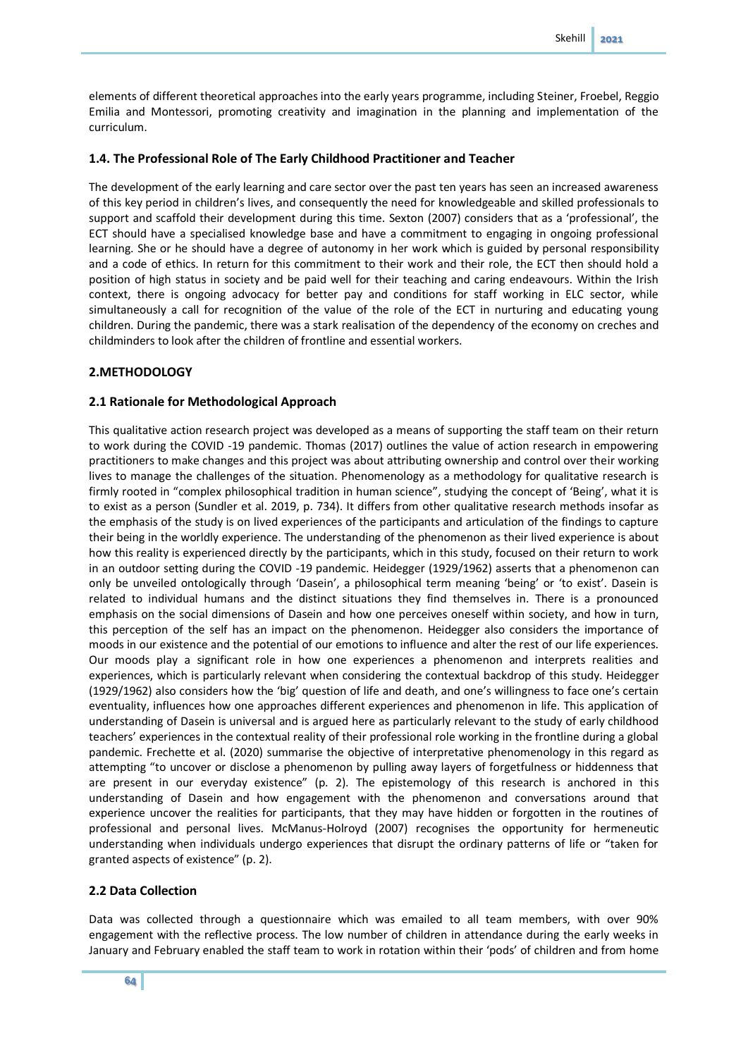elements of different theoretical approaches into the early years programme, including Steiner, Froebel, Reggio Emilia and Montessori, promoting creativity and imagination in the planning and implementation of the curriculum.

## **1.4. The Professional Role of The Early Childhood Practitioner and Teacher**

The development of the early learning and care sector over the past ten years has seen an increased awareness of this key period in children's lives, and consequently the need for knowledgeable and skilled professionals to support and scaffold their development during this time. Sexton (2007) considers that as a 'professional', the ECT should have a specialised knowledge base and have a commitment to engaging in ongoing professional learning. She or he should have a degree of autonomy in her work which is guided by personal responsibility and a code of ethics. In return for this commitment to their work and their role, the ECT then should hold a position of high status in society and be paid well for their teaching and caring endeavours. Within the Irish context, there is ongoing advocacy for better pay and conditions for staff working in ELC sector, while simultaneously a call for recognition of the value of the role of the ECT in nurturing and educating young children. During the pandemic, there was a stark realisation of the dependency of the economy on creches and childminders to look after the children of frontline and essential workers.

## **2.METHODOLOGY**

## **2.1 Rationale for Methodological Approach**

This qualitative action research project was developed as a means of supporting the staff team on their return to work during the COVID -19 pandemic. Thomas (2017) outlines the value of action research in empowering practitioners to make changes and this project was about attributing ownership and control over their working lives to manage the challenges of the situation. Phenomenology as a methodology for qualitative research is firmly rooted in "complex philosophical tradition in human science", studying the concept of 'Being', what it is to exist as a person (Sundler et al. 2019, p. 734). It differs from other qualitative research methods insofar as the emphasis of the study is on lived experiences of the participants and articulation of the findings to capture their being in the worldly experience. The understanding of the phenomenon as their lived experience is about how this reality is experienced directly by the participants, which in this study, focused on their return to work in an outdoor setting during the COVID -19 pandemic. Heidegger (1929/1962) asserts that a phenomenon can only be unveiled ontologically through 'Dasein', a philosophical term meaning 'being' or 'to exist'. Dasein is related to individual humans and the distinct situations they find themselves in. There is a pronounced emphasis on the social dimensions of Dasein and how one perceives oneself within society, and how in turn, this perception of the self has an impact on the phenomenon. Heidegger also considers the importance of moods in our existence and the potential of our emotions to influence and alter the rest of our life experiences. Our moods play a significant role in how one experiences a phenomenon and interprets realities and experiences, which is particularly relevant when considering the contextual backdrop of this study. Heidegger (1929/1962) also considers how the 'big' question of life and death, and one's willingness to face one's certain eventuality, influences how one approaches different experiences and phenomenon in life. This application of understanding of Dasein is universal and is argued here as particularly relevant to the study of early childhood teachers' experiences in the contextual reality of their professional role working in the frontline during a global pandemic. Frechette et al. (2020) summarise the objective of interpretative phenomenology in this regard as attempting "to uncover or disclose a phenomenon by pulling away layers of forgetfulness or hiddenness that are present in our everyday existence" (p. 2). The epistemology of this research is anchored in this understanding of Dasein and how engagement with the phenomenon and conversations around that experience uncover the realities for participants, that they may have hidden or forgotten in the routines of professional and personal lives. McManus-Holroyd (2007) recognises the opportunity for hermeneutic understanding when individuals undergo experiences that disrupt the ordinary patterns of life or "taken for granted aspects of existence" (p. 2).

## **2.2 Data Collection**

Data was collected through a questionnaire which was emailed to all team members, with over 90% engagement with the reflective process. The low number of children in attendance during the early weeks in January and February enabled the staff team to work in rotation within their 'pods' of children and from home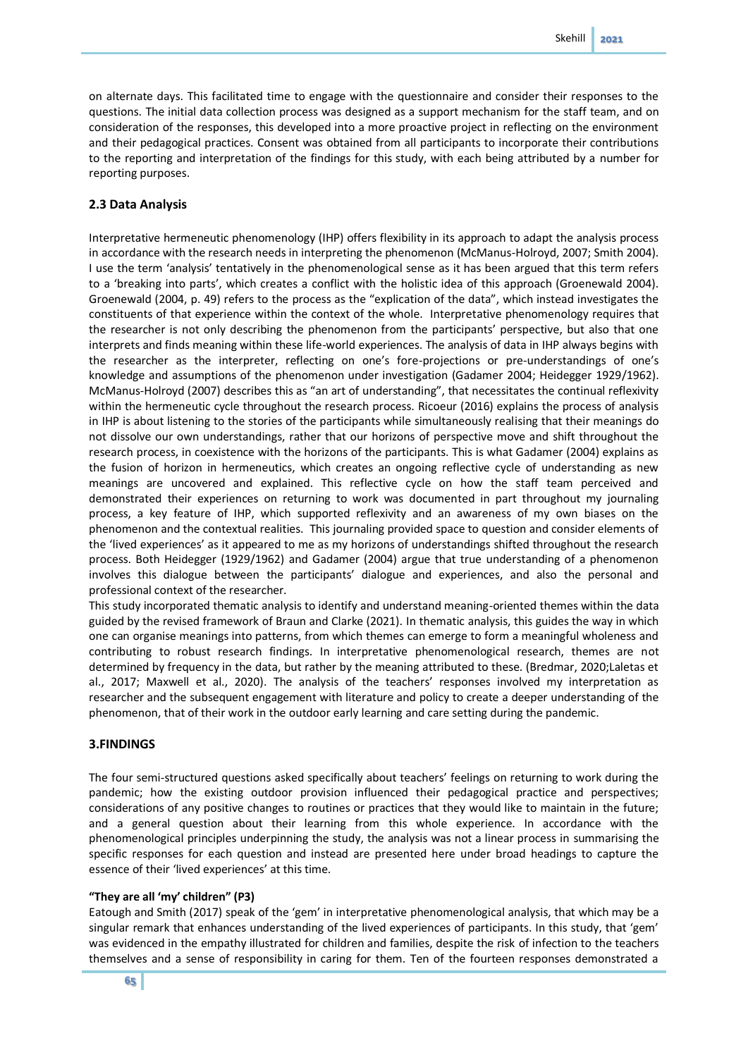on alternate days. This facilitated time to engage with the questionnaire and consider their responses to the questions. The initial data collection process was designed as a support mechanism for the staff team, and on consideration of the responses, this developed into a more proactive project in reflecting on the environment and their pedagogical practices. Consent was obtained from all participants to incorporate their contributions to the reporting and interpretation of the findings for this study, with each being attributed by a number for reporting purposes.

## **2.3 Data Analysis**

Interpretative hermeneutic phenomenology (IHP) offers flexibility in its approach to adapt the analysis process in accordance with the research needs in interpreting the phenomenon (McManus-Holroyd, 2007; Smith 2004). I use the term 'analysis' tentatively in the phenomenological sense as it has been argued that this term refers to a 'breaking into parts', which creates a conflict with the holistic idea of this approach (Groenewald 2004). Groenewald (2004, p. 49) refers to the process as the "explication of the data", which instead investigates the constituents of that experience within the context of the whole. Interpretative phenomenology requires that the researcher is not only describing the phenomenon from the participants' perspective, but also that one interprets and finds meaning within these life-world experiences. The analysis of data in IHP always begins with the researcher as the interpreter, reflecting on one's fore-projections or pre-understandings of one's knowledge and assumptions of the phenomenon under investigation (Gadamer 2004; Heidegger 1929/1962). McManus-Holroyd (2007) describes this as "an art of understanding", that necessitates the continual reflexivity within the hermeneutic cycle throughout the research process. Ricoeur (2016) explains the process of analysis in IHP is about listening to the stories of the participants while simultaneously realising that their meanings do not dissolve our own understandings, rather that our horizons of perspective move and shift throughout the research process, in coexistence with the horizons of the participants. This is what Gadamer (2004) explains as the fusion of horizon in hermeneutics, which creates an ongoing reflective cycle of understanding as new meanings are uncovered and explained. This reflective cycle on how the staff team perceived and demonstrated their experiences on returning to work was documented in part throughout my journaling process, a key feature of IHP, which supported reflexivity and an awareness of my own biases on the phenomenon and the contextual realities. This journaling provided space to question and consider elements of the 'lived experiences' as it appeared to me as my horizons of understandings shifted throughout the research process. Both Heidegger (1929/1962) and Gadamer (2004) argue that true understanding of a phenomenon involves this dialogue between the participants' dialogue and experiences, and also the personal and professional context of the researcher.

This study incorporated thematic analysis to identify and understand meaning-oriented themes within the data guided by the revised framework of Braun and Clarke (2021). In thematic analysis, this guides the way in which one can organise meanings into patterns, from which themes can emerge to form a meaningful wholeness and contributing to robust research findings. In interpretative phenomenological research, themes are not determined by frequency in the data, but rather by the meaning attributed to these. (Bredmar, 2020;Laletas et al., 2017; Maxwell et al., 2020). The analysis of the teachers' responses involved my interpretation as researcher and the subsequent engagement with literature and policy to create a deeper understanding of the phenomenon, that of their work in the outdoor early learning and care setting during the pandemic.

#### **3.FINDINGS**

The four semi-structured questions asked specifically about teachers' feelings on returning to work during the pandemic; how the existing outdoor provision influenced their pedagogical practice and perspectives; considerations of any positive changes to routines or practices that they would like to maintain in the future; and a general question about their learning from this whole experience. In accordance with the phenomenological principles underpinning the study, the analysis was not a linear process in summarising the specific responses for each question and instead are presented here under broad headings to capture the essence of their 'lived experiences' at this time.

#### **"They are all 'my' children" (P3)**

Eatough and Smith (2017) speak of the 'gem' in interpretative phenomenological analysis, that which may be a singular remark that enhances understanding of the lived experiences of participants. In this study, that 'gem' was evidenced in the empathy illustrated for children and families, despite the risk of infection to the teachers themselves and a sense of responsibility in caring for them. Ten of the fourteen responses demonstrated a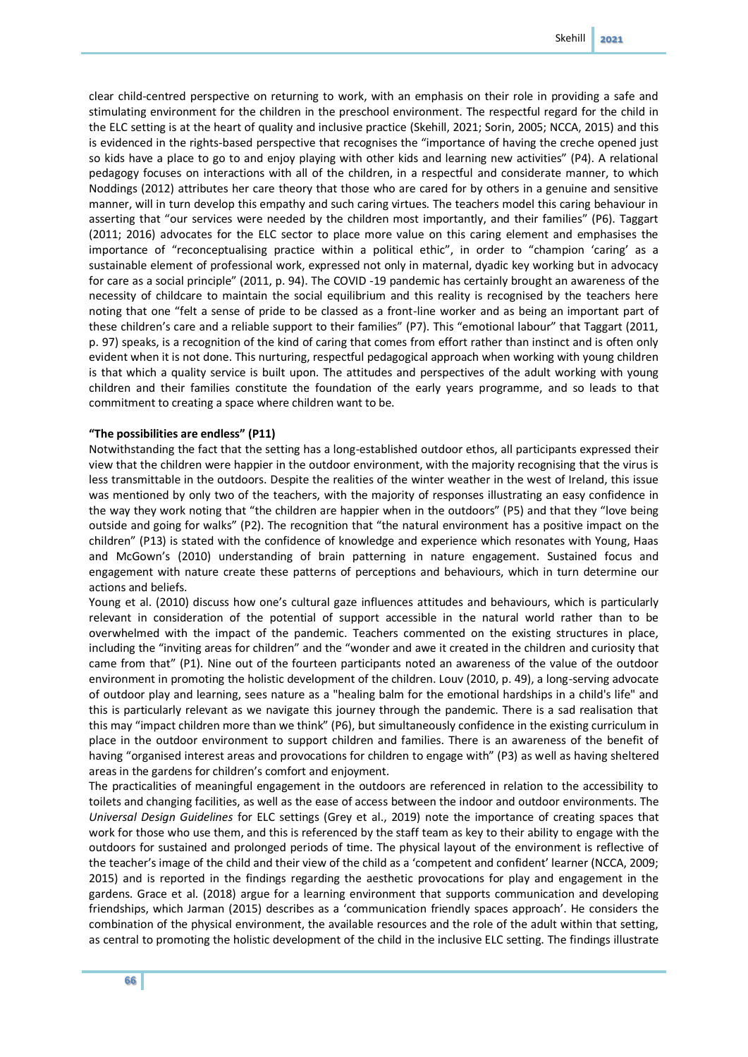clear child-centred perspective on returning to work, with an emphasis on their role in providing a safe and stimulating environment for the children in the preschool environment. The respectful regard for the child in the ELC setting is at the heart of quality and inclusive practice (Skehill, 2021; Sorin, 2005; NCCA, 2015) and this is evidenced in the rights-based perspective that recognises the "importance of having the creche opened just so kids have a place to go to and enjoy playing with other kids and learning new activities" (P4). A relational pedagogy focuses on interactions with all of the children, in a respectful and considerate manner, to which Noddings (2012) attributes her care theory that those who are cared for by others in a genuine and sensitive manner, will in turn develop this empathy and such caring virtues. The teachers model this caring behaviour in asserting that "our services were needed by the children most importantly, and their families" (P6). Taggart (2011; 2016) advocates for the ELC sector to place more value on this caring element and emphasises the importance of "reconceptualising practice within a political ethic", in order to "champion 'caring' as a sustainable element of professional work, expressed not only in maternal, dyadic key working but in advocacy for care as a social principle" (2011, p. 94). The COVID -19 pandemic has certainly brought an awareness of the necessity of childcare to maintain the social equilibrium and this reality is recognised by the teachers here noting that one "felt a sense of pride to be classed as a front-line worker and as being an important part of these children's care and a reliable support to their families" (P7). This "emotional labour" that Taggart (2011, p. 97) speaks, is a recognition of the kind of caring that comes from effort rather than instinct and is often only evident when it is not done. This nurturing, respectful pedagogical approach when working with young children is that which a quality service is built upon. The attitudes and perspectives of the adult working with young children and their families constitute the foundation of the early years programme, and so leads to that commitment to creating a space where children want to be.

#### **"The possibilities are endless" (P11)**

Notwithstanding the fact that the setting has a long-established outdoor ethos, all participants expressed their view that the children were happier in the outdoor environment, with the majority recognising that the virus is less transmittable in the outdoors. Despite the realities of the winter weather in the west of Ireland, this issue was mentioned by only two of the teachers, with the majority of responses illustrating an easy confidence in the way they work noting that "the children are happier when in the outdoors" (P5) and that they "love being outside and going for walks" (P2). The recognition that "the natural environment has a positive impact on the children" (P13) is stated with the confidence of knowledge and experience which resonates with Young, Haas and McGown's (2010) understanding of brain patterning in nature engagement. Sustained focus and engagement with nature create these patterns of perceptions and behaviours, which in turn determine our actions and beliefs.

Young et al. (2010) discuss how one's cultural gaze influences attitudes and behaviours, which is particularly relevant in consideration of the potential of support accessible in the natural world rather than to be overwhelmed with the impact of the pandemic. Teachers commented on the existing structures in place, including the "inviting areas for children" and the "wonder and awe it created in the children and curiosity that came from that" (P1). Nine out of the fourteen participants noted an awareness of the value of the outdoor environment in promoting the holistic development of the children. Louv (2010, p. 49), a long-serving advocate of outdoor play and learning, sees nature as a "healing balm for the emotional hardships in a child's life" and this is particularly relevant as we navigate this journey through the pandemic. There is a sad realisation that this may "impact children more than we think" (P6), but simultaneously confidence in the existing curriculum in place in the outdoor environment to support children and families. There is an awareness of the benefit of having "organised interest areas and provocations for children to engage with" (P3) as well as having sheltered areas in the gardens for children's comfort and enjoyment.

The practicalities of meaningful engagement in the outdoors are referenced in relation to the accessibility to toilets and changing facilities, as well as the ease of access between the indoor and outdoor environments. The *Universal Design Guidelines* for ELC settings (Grey et al., 2019) note the importance of creating spaces that work for those who use them, and this is referenced by the staff team as key to their ability to engage with the outdoors for sustained and prolonged periods of time. The physical layout of the environment is reflective of the teacher's image of the child and their view of the child as a 'competent and confident' learner (NCCA, 2009; 2015) and is reported in the findings regarding the aesthetic provocations for play and engagement in the gardens. Grace et al. (2018) argue for a learning environment that supports communication and developing friendships, which Jarman (2015) describes as a 'communication friendly spaces approach'. He considers the combination of the physical environment, the available resources and the role of the adult within that setting, as central to promoting the holistic development of the child in the inclusive ELC setting. The findings illustrate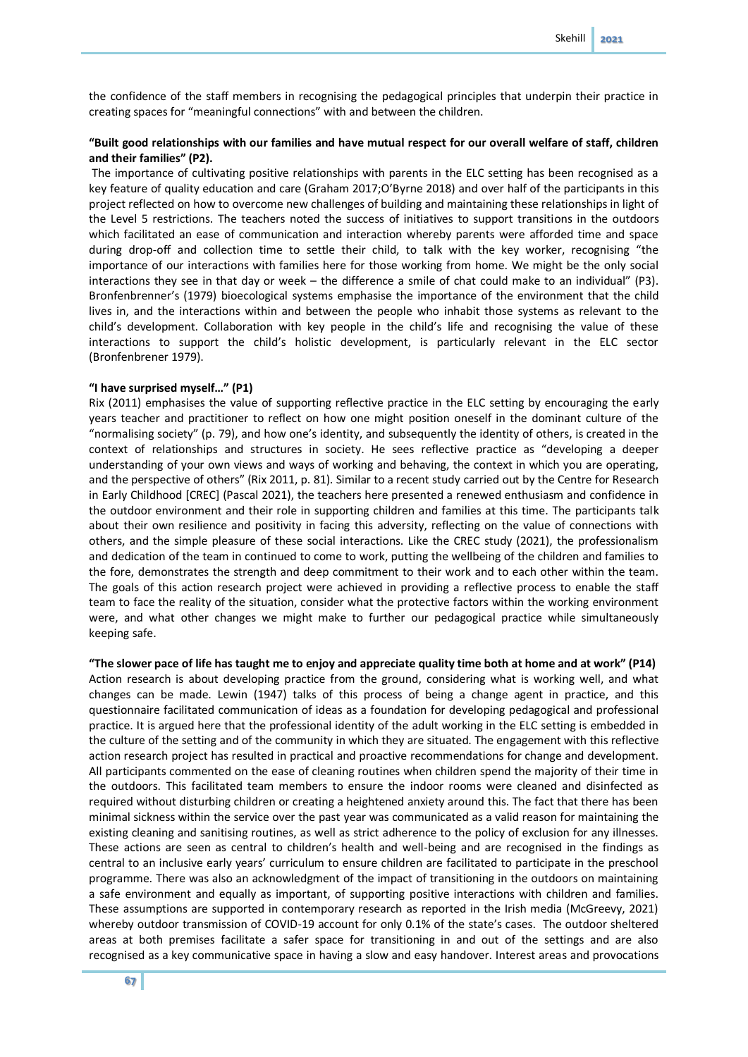the confidence of the staff members in recognising the pedagogical principles that underpin their practice in creating spaces for "meaningful connections" with and between the children.

## **"Built good relationships with our families and have mutual respect for our overall welfare of staff, children and their families" (P2).**

The importance of cultivating positive relationships with parents in the ELC setting has been recognised as a key feature of quality education and care (Graham 2017;O'Byrne 2018) and over half of the participants in this project reflected on how to overcome new challenges of building and maintaining these relationships in light of the Level 5 restrictions. The teachers noted the success of initiatives to support transitions in the outdoors which facilitated an ease of communication and interaction whereby parents were afforded time and space during drop-off and collection time to settle their child, to talk with the key worker, recognising "the importance of our interactions with families here for those working from home. We might be the only social interactions they see in that day or week – the difference a smile of chat could make to an individual" (P3). Bronfenbrenner's (1979) bioecological systems emphasise the importance of the environment that the child lives in, and the interactions within and between the people who inhabit those systems as relevant to the child's development. Collaboration with key people in the child's life and recognising the value of these interactions to support the child's holistic development, is particularly relevant in the ELC sector (Bronfenbrener 1979).

#### **"I have surprised myself…" (P1)**

Rix (2011) emphasises the value of supporting reflective practice in the ELC setting by encouraging the early years teacher and practitioner to reflect on how one might position oneself in the dominant culture of the "normalising society" (p. 79), and how one's identity, and subsequently the identity of others, is created in the context of relationships and structures in society. He sees reflective practice as "developing a deeper understanding of your own views and ways of working and behaving, the context in which you are operating, and the perspective of others" (Rix 2011, p. 81). Similar to a recent study carried out by the Centre for Research in Early Childhood [CREC] (Pascal 2021), the teachers here presented a renewed enthusiasm and confidence in the outdoor environment and their role in supporting children and families at this time. The participants talk about their own resilience and positivity in facing this adversity, reflecting on the value of connections with others, and the simple pleasure of these social interactions. Like the CREC study (2021), the professionalism and dedication of the team in continued to come to work, putting the wellbeing of the children and families to the fore, demonstrates the strength and deep commitment to their work and to each other within the team. The goals of this action research project were achieved in providing a reflective process to enable the staff team to face the reality of the situation, consider what the protective factors within the working environment were, and what other changes we might make to further our pedagogical practice while simultaneously keeping safe.

**"The slower pace of life has taught me to enjoy and appreciate quality time both at home and at work" (P14)** Action research is about developing practice from the ground, considering what is working well, and what changes can be made. Lewin (1947) talks of this process of being a change agent in practice, and this questionnaire facilitated communication of ideas as a foundation for developing pedagogical and professional practice. It is argued here that the professional identity of the adult working in the ELC setting is embedded in the culture of the setting and of the community in which they are situated. The engagement with this reflective action research project has resulted in practical and proactive recommendations for change and development. All participants commented on the ease of cleaning routines when children spend the majority of their time in the outdoors. This facilitated team members to ensure the indoor rooms were cleaned and disinfected as required without disturbing children or creating a heightened anxiety around this. The fact that there has been minimal sickness within the service over the past year was communicated as a valid reason for maintaining the existing cleaning and sanitising routines, as well as strict adherence to the policy of exclusion for any illnesses. These actions are seen as central to children's health and well-being and are recognised in the findings as central to an inclusive early years' curriculum to ensure children are facilitated to participate in the preschool programme. There was also an acknowledgment of the impact of transitioning in the outdoors on maintaining a safe environment and equally as important, of supporting positive interactions with children and families. These assumptions are supported in contemporary research as reported in the Irish media (McGreevy, 2021) whereby outdoor transmission of COVID-19 account for only 0.1% of the state's cases. The outdoor sheltered areas at both premises facilitate a safer space for transitioning in and out of the settings and are also recognised as a key communicative space in having a slow and easy handover. Interest areas and provocations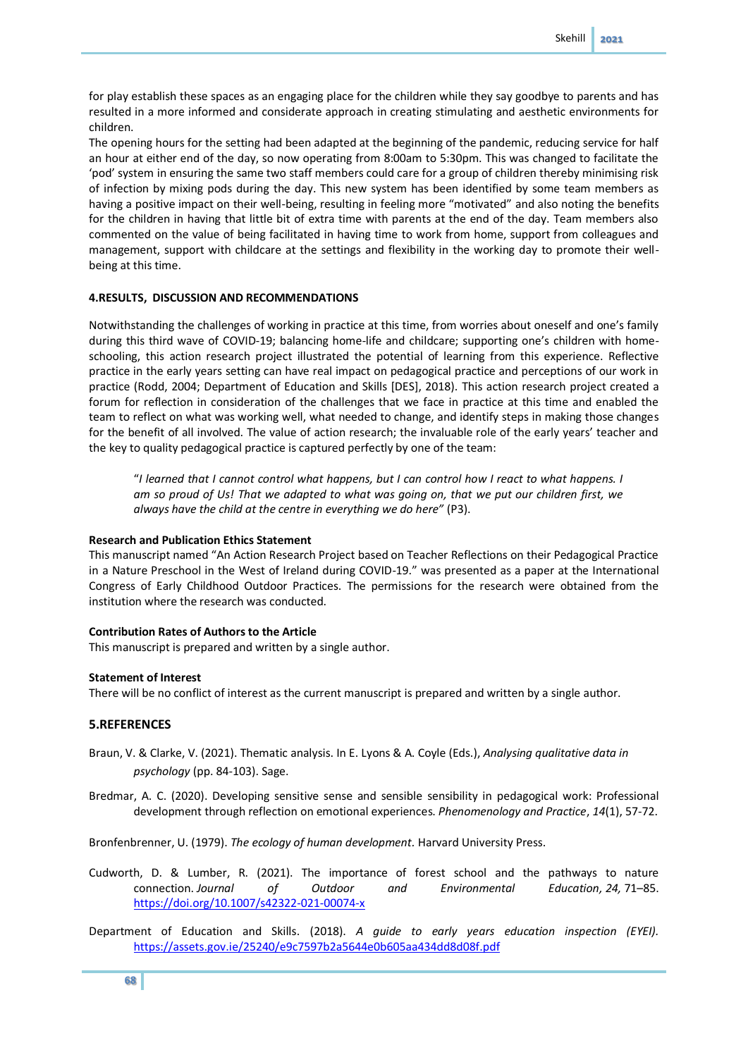for play establish these spaces as an engaging place for the children while they say goodbye to parents and has resulted in a more informed and considerate approach in creating stimulating and aesthetic environments for children.

The opening hours for the setting had been adapted at the beginning of the pandemic, reducing service for half an hour at either end of the day, so now operating from 8:00am to 5:30pm. This was changed to facilitate the 'pod' system in ensuring the same two staff members could care for a group of children thereby minimising risk of infection by mixing pods during the day. This new system has been identified by some team members as having a positive impact on their well-being, resulting in feeling more "motivated" and also noting the benefits for the children in having that little bit of extra time with parents at the end of the day. Team members also commented on the value of being facilitated in having time to work from home, support from colleagues and management, support with childcare at the settings and flexibility in the working day to promote their wellbeing at this time.

#### **4.RESULTS, DISCUSSION AND RECOMMENDATIONS**

Notwithstanding the challenges of working in practice at this time, from worries about oneself and one's family during this third wave of COVID-19; balancing home-life and childcare; supporting one's children with homeschooling, this action research project illustrated the potential of learning from this experience. Reflective practice in the early years setting can have real impact on pedagogical practice and perceptions of our work in practice (Rodd, 2004; Department of Education and Skills [DES], 2018). This action research project created a forum for reflection in consideration of the challenges that we face in practice at this time and enabled the team to reflect on what was working well, what needed to change, and identify steps in making those changes for the benefit of all involved. The value of action research; the invaluable role of the early years' teacher and the key to quality pedagogical practice is captured perfectly by one of the team:

"*I learned that I cannot control what happens, but I can control how I react to what happens. I am so proud of Us! That we adapted to what was going on, that we put our children first, we always have the child at the centre in everything we do here"* (P3).

#### **Research and Publication Ethics Statement**

This manuscript named "An Action Research Project based on Teacher Reflections on their Pedagogical Practice in a Nature Preschool in the West of Ireland during COVID-19." was presented as a paper at the International Congress of Early Childhood Outdoor Practices. The permissions for the research were obtained from the institution where the research was conducted.

## **Contribution Rates of Authors to the Article**

This manuscript is prepared and written by a single author.

### **Statement of Interest**

There will be no conflict of interest as the current manuscript is prepared and written by a single author.

## **5.REFERENCES**

- Braun, V. & Clarke, V. (2021). Thematic analysis. In E. Lyons & A. Coyle (Eds.), *Analysing qualitative data in psychology* (pp. 84-103). Sage.
- Bredmar, A. C. (2020). Developing sensitive sense and sensible sensibility in pedagogical work: Professional development through reflection on emotional experiences. *Phenomenology and Practice*, *14*(1), 57-72.

Bronfenbrenner, U. (1979). *The ecology of human development.* Harvard University Press.

- Cudworth, D. & Lumber, R. (2021). The importance of forest school and the pathways to nature connection. *Journal of Outdoor and Environmental Education, 24,* 71–85. <https://doi.org/10.1007/s42322-021-00074-x>
- Department of Education and Skills. (2018). *A guide to early years education inspection (EYEI).* <https://assets.gov.ie/25240/e9c7597b2a5644e0b605aa434dd8d08f.pdf>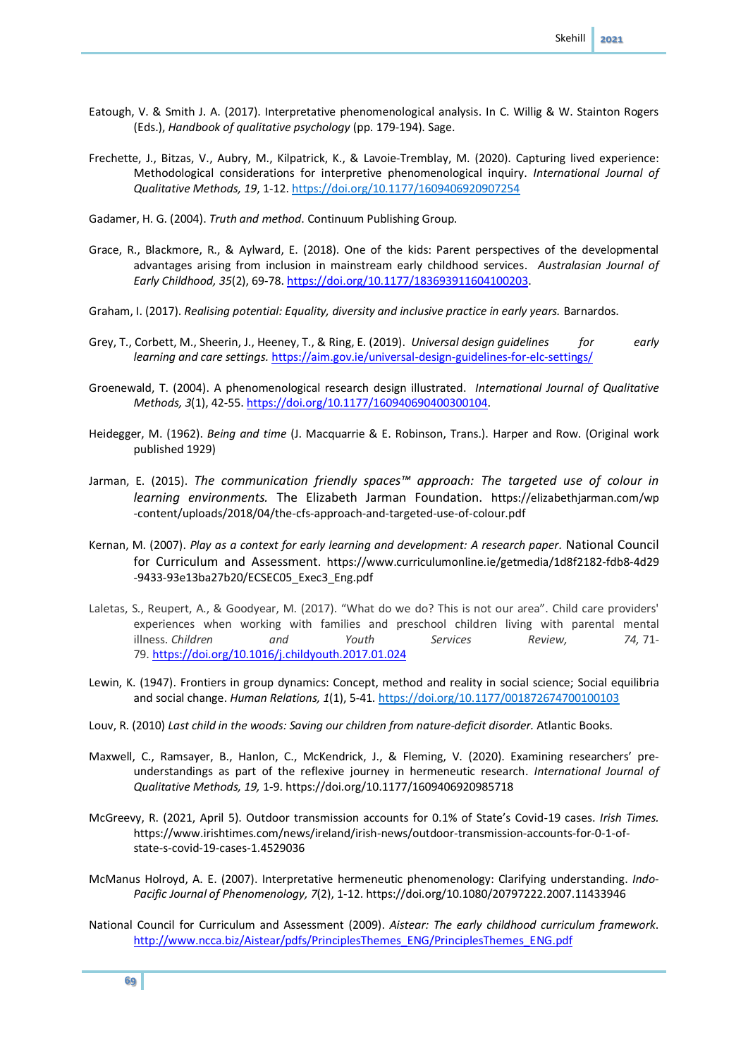- Eatough, V. & Smith J. A. (2017). Interpretative phenomenological analysis. In C. Willig & W. Stainton Rogers (Eds.), *Handbook of qualitative psychology* (pp. 179-194). Sage.
- Frechette, J., Bitzas, V., Aubry, M., Kilpatrick, K., & Lavoie-Tremblay, M. (2020). Capturing lived experience: Methodological considerations for interpretive phenomenological inquiry. *International Journal of Qualitative Methods, 19*, 1-12[. https://doi.org/10.1177/1609406920907254](https://doi.org/10.1177%2F1609406920907254)

Gadamer, H. G. (2004). *Truth and method*. Continuum Publishing Group.

- Grace, R., Blackmore, R., & Aylward, E. (2018). One of the kids: Parent perspectives of the developmental advantages arising from inclusion in mainstream early childhood services. *Australasian Journal of Early Childhood, 35*(2), 69-78. [https://doi.org/10.1177/183693911604100203.](https://doi.org/10.1177%2F183693911604100203)
- Graham, I. (2017). *Realising potential: Equality, diversity and inclusive practice in early years.* Barnardos.
- Grey, T., Corbett, M., Sheerin, J., Heeney, T., & Ring, E. (2019). *Universal design guidelines for early learning and care settings.* <https://aim.gov.ie/universal-design-guidelines-for-elc-settings/>
- Groenewald, T. (2004). A phenomenological research design illustrated. *International Journal of Qualitative Methods, 3*(1), 42-55[. https://doi.org/10.1177/160940690400300104.](https://doi.org/10.1177/160940690400300104)
- Heidegger, M. (1962). *Being and time* (J. Macquarrie & E. Robinson, Trans.). Harper and Row. (Original work published 1929)
- Jarman, E. (2015). *The communication friendly spaces™ approach: The targeted use of colour in learning environments.* The Elizabeth Jarman Foundation. https://elizabethjarman.com/wp -content/uploads/2018/04/the-cfs-approach-and-targeted-use-of-colour.pdf
- Kernan, M. (2007). *Play as a context for early learning and development: A research paper.* National Council for Curriculum and Assessment. https://www.curriculumonline.ie/getmedia/1d8f2182-fdb8-4d29 -9433-93e13ba27b20/ECSEC05\_Exec3\_Eng.pdf
- Laletas, S., Reupert, A., & Goodyear, M. (2017). "What do we do? This is not our area". Child care providers' experiences when working with families and preschool children living with parental mental illness. *Children and Youth Services Review, 74,* 71- 79. <https://doi.org/10.1016/j.childyouth.2017.01.024>
- Lewin, K. (1947). Frontiers in group dynamics: Concept, method and reality in social science; Social equilibria and social change. *Human Relations, 1*(1), 5-41. [https://doi.org/10.1177/001872674700100103](https://doi.org/10.1177%2F001872674700100103)
- Louv, R. (2010) *Last child in the woods: Saving our children from nature-deficit disorder.* Atlantic Books.
- Maxwell, C., Ramsayer, B., Hanlon, C., McKendrick, J., & Fleming, V. (2020). Examining researchers' preunderstandings as part of the reflexive journey in hermeneutic research. *International Journal of Qualitative Methods, 19,* 1-9. https://doi.org/10.1177/1609406920985718
- McGreevy, R. (2021, April 5). Outdoor transmission accounts for 0.1% of State's Covid-19 cases. *Irish Times.* https://www.irishtimes.com/news/ireland/irish-news/outdoor-transmission-accounts-for-0-1-ofstate-s-covid-19-cases-1.4529036
- McManus Holroyd, A. E. (2007). Interpretative hermeneutic phenomenology: Clarifying understanding. *Indo-Pacific Journal of Phenomenology, 7*(2), 1-12. https://doi.org/10.1080/20797222.2007.11433946
- National Council for Curriculum and Assessment (2009). *Aistear: The early childhood curriculum framework*. [http://www.ncca.biz/Aistear/pdfs/PrinciplesThemes\\_ENG/PrinciplesThemes\\_ENG.pdf](http://www.ncca.biz/Aistear/pdfs/PrinciplesThemes_ENG/PrinciplesThemes_ENG.pdf)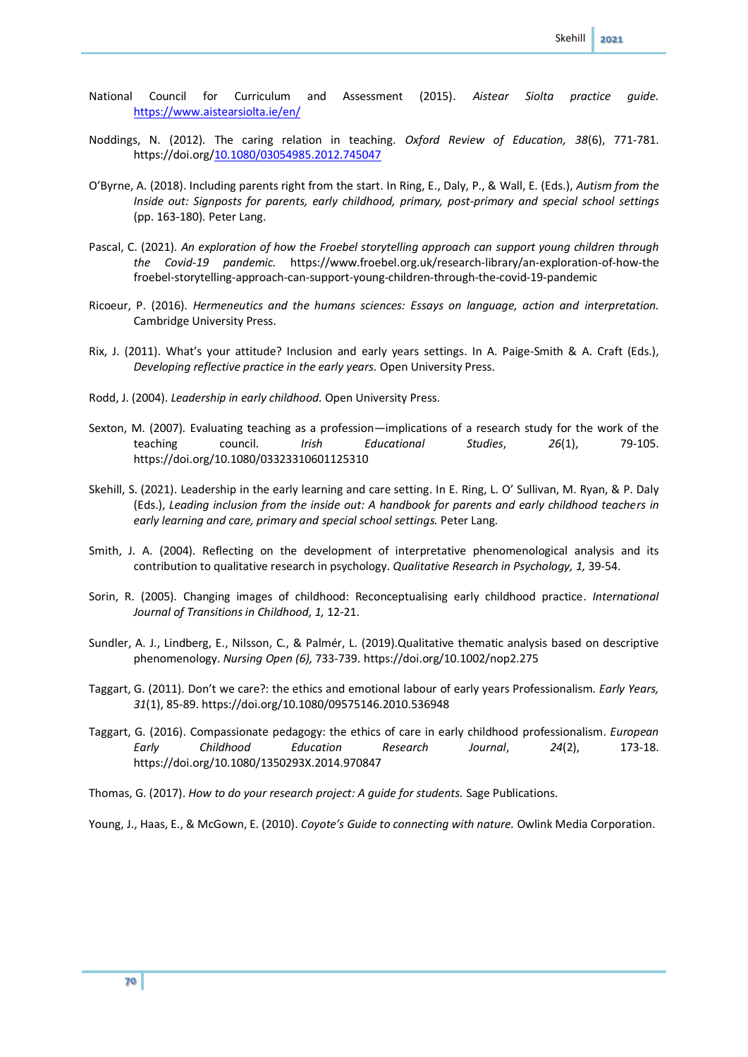- National Council for Curriculum and Assessment (2015). *Aistear Siolta practice guide.* <https://www.aistearsiolta.ie/en/>
- Noddings, N. (2012). The caring relation in teaching. *Oxford Review of Education, 38*(6), 771-781. https://doi.org/10.1080/03054985.2012.745047
- O'Byrne, A. (2018). Including parents right from the start. In Ring, E., Daly, P., & Wall, E. (Eds.), *Autism from the Inside out: Signposts for parents, early childhood, primary, post-primary and special school settings* (pp. 163-180)*.* Peter Lang.
- Pascal, C. (2021). *An exploration of how the Froebel storytelling approach can support young children through the Covid-19 pandemic.* https://www.froebel.org.uk/research-library/an-exploration-of-how-the froebel-storytelling-approach-can-support-young-children-through-the-covid-19-pandemic
- Ricoeur, P. (2016). *Hermeneutics and the humans sciences: Essays on language, action and interpretation.* Cambridge University Press.
- Rix, J. (2011). What's your attitude? Inclusion and early years settings. In A. Paige-Smith & A. Craft (Eds.), *Developing reflective practice in the early years.* Open University Press.
- Rodd, J. (2004). *Leadership in early childhood.* Open University Press.
- Sexton, M. (2007). Evaluating teaching as a profession—implications of a research study for the work of the teaching council. *Irish Educational Studies*, *26*(1), 79-105. https://doi.org/10.1080/03323310601125310
- Skehill, S. (2021). Leadership in the early learning and care setting. In E. Ring, L. O' Sullivan, M. Ryan, & P. Daly (Eds.), *Leading inclusion from the inside out: A handbook for parents and early childhood teachers in early learning and care, primary and special school settings.* Peter Lang.
- Smith, J. A. (2004). Reflecting on the development of interpretative phenomenological analysis and its contribution to qualitative research in psychology. *Qualitative Research in Psychology, 1,* 39-54.
- Sorin, R. (2005). Changing images of childhood: Reconceptualising early childhood practice. *International Journal of Transitions in Childhood, 1,* 12-21.
- Sundler, A. J., Lindberg, E., Nilsson, C., & Palmér, L. (2019).Qualitative thematic analysis based on descriptive phenomenology. *Nursing Open (6),* 733-739. https://doi.org/10.1002/nop2.275
- Taggart, G. (2011). Don't we care?: the ethics and emotional labour of early years Professionalism. *Early Years, 31*(1), 85-89. https://doi.org/10.1080/09575146.2010.536948
- Taggart, G. (2016). Compassionate pedagogy: the ethics of care in early childhood professionalism. *European Early Childhood Education Research Journal*, *24*(2), 173-18. https://doi.org/10.1080/1350293X.2014.970847
- Thomas, G. (2017). *How to do your research project: A guide for students.* Sage Publications.

Young, J., Haas, E., & McGown, E. (2010). *Coyote's Guide to connecting with nature.* Owlink Media Corporation.